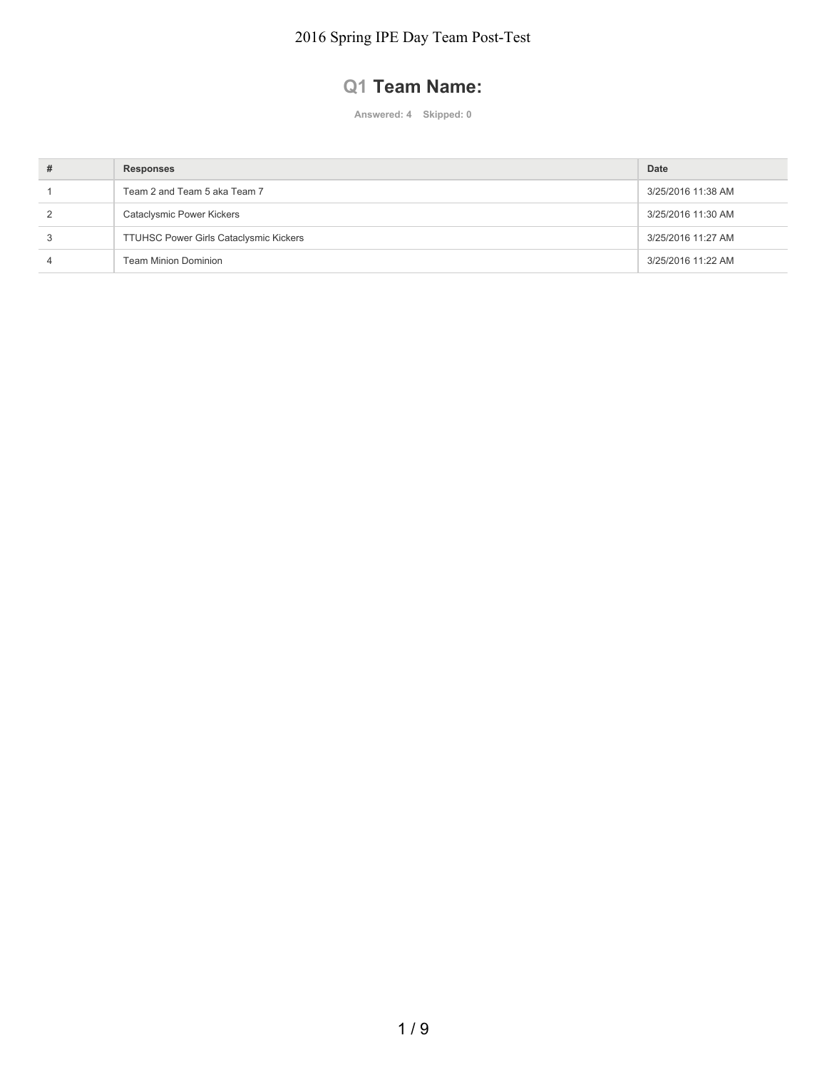## **Q1 Team Name:**

| # | <b>Responses</b>                              | Date               |
|---|-----------------------------------------------|--------------------|
|   | Team 2 and Team 5 aka Team 7                  | 3/25/2016 11:38 AM |
|   | Cataclysmic Power Kickers                     | 3/25/2016 11:30 AM |
|   | <b>TTUHSC Power Girls Cataclysmic Kickers</b> | 3/25/2016 11:27 AM |
|   | <b>Team Minion Dominion</b>                   | 3/25/2016 11:22 AM |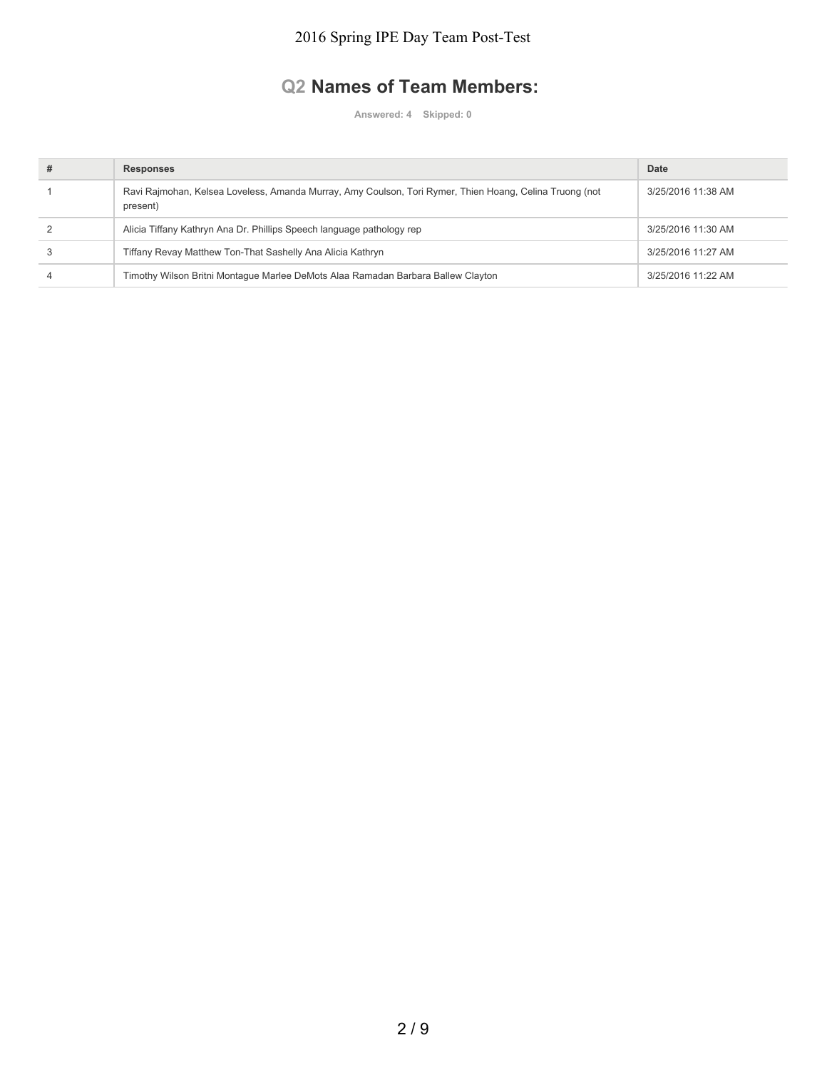### **Q2 Names of Team Members:**

| # | <b>Responses</b>                                                                                                    | Date               |
|---|---------------------------------------------------------------------------------------------------------------------|--------------------|
|   | Ravi Rajmohan, Kelsea Loveless, Amanda Murray, Amy Coulson, Tori Rymer, Thien Hoang, Celina Truong (not<br>present) | 3/25/2016 11:38 AM |
|   | Alicia Tiffany Kathryn Ana Dr. Phillips Speech language pathology rep                                               | 3/25/2016 11:30 AM |
|   | Tiffany Revay Matthew Ton-That Sashelly Ana Alicia Kathryn                                                          | 3/25/2016 11:27 AM |
|   | Timothy Wilson Britni Montague Marlee DeMots Alaa Ramadan Barbara Ballew Clayton                                    | 3/25/2016 11:22 AM |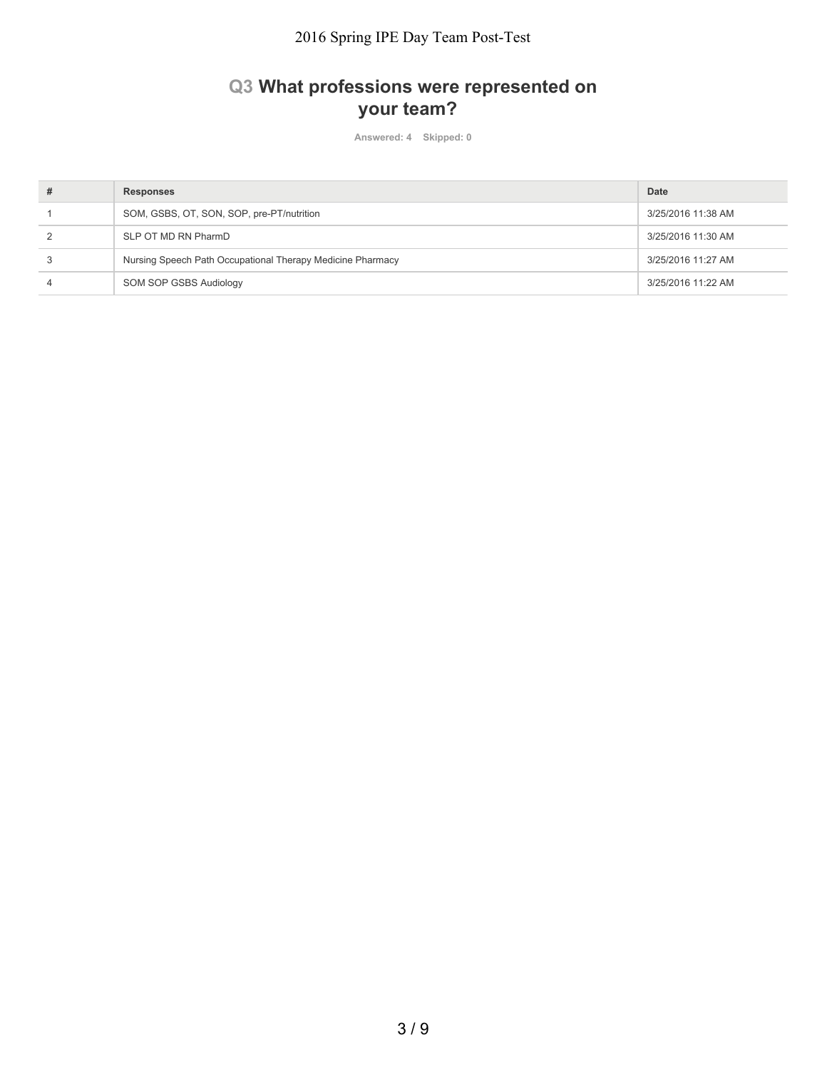## **Q3 What professions were represented on your team?**

| # | <b>Responses</b>                                           | Date               |
|---|------------------------------------------------------------|--------------------|
|   | SOM, GSBS, OT, SON, SOP, pre-PT/nutrition                  | 3/25/2016 11:38 AM |
|   | SLP OT MD RN PharmD                                        | 3/25/2016 11:30 AM |
|   | Nursing Speech Path Occupational Therapy Medicine Pharmacy | 3/25/2016 11:27 AM |
|   | SOM SOP GSBS Audiology                                     | 3/25/2016 11:22 AM |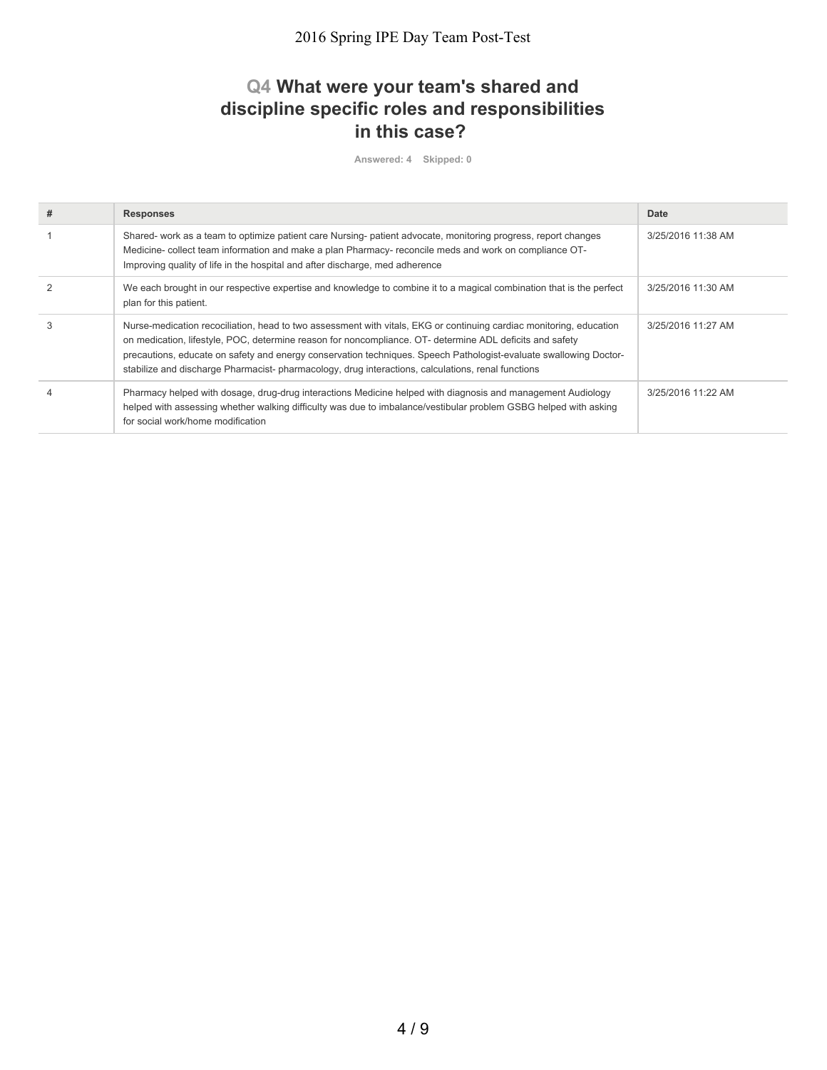### **Q4 What were your team's shared and discipline specific roles and responsibilities in this case?**

| # | <b>Responses</b>                                                                                                                                                                                                                                                                                                                                                                                                                                          | Date               |
|---|-----------------------------------------------------------------------------------------------------------------------------------------------------------------------------------------------------------------------------------------------------------------------------------------------------------------------------------------------------------------------------------------------------------------------------------------------------------|--------------------|
|   | Shared- work as a team to optimize patient care Nursing- patient advocate, monitoring progress, report changes<br>Medicine- collect team information and make a plan Pharmacy- reconcile meds and work on compliance OT-<br>Improving quality of life in the hospital and after discharge, med adherence                                                                                                                                                  | 3/25/2016 11:38 AM |
|   | We each brought in our respective expertise and knowledge to combine it to a magical combination that is the perfect<br>plan for this patient.                                                                                                                                                                                                                                                                                                            | 3/25/2016 11:30 AM |
| 3 | Nurse-medication recociliation, head to two assessment with vitals, EKG or continuing cardiac monitoring, education<br>on medication, lifestyle, POC, determine reason for noncompliance. OT- determine ADL deficits and safety<br>precautions, educate on safety and energy conservation techniques. Speech Pathologist-evaluate swallowing Doctor-<br>stabilize and discharge Pharmacist-pharmacology, drug interactions, calculations, renal functions | 3/25/2016 11:27 AM |
|   | Pharmacy helped with dosage, drug-drug interactions Medicine helped with diagnosis and management Audiology<br>helped with assessing whether walking difficulty was due to imbalance/vestibular problem GSBG helped with asking<br>for social work/home modification                                                                                                                                                                                      | 3/25/2016 11:22 AM |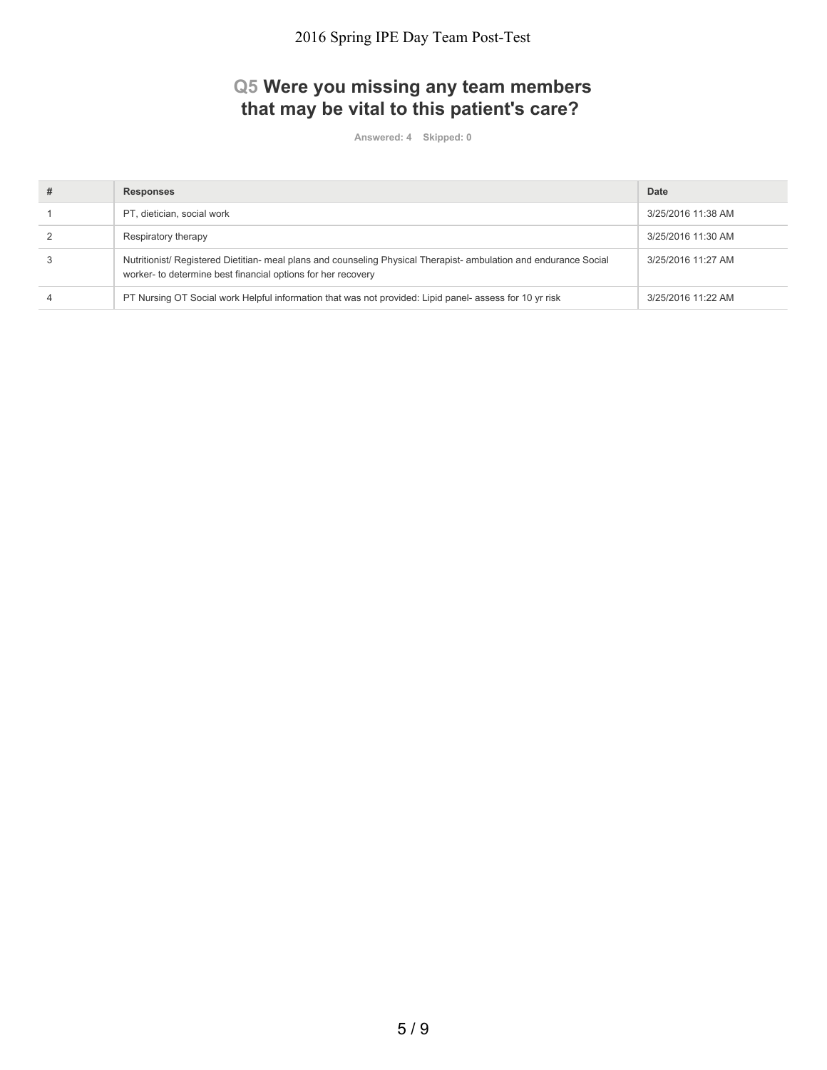# **Q5 Were you missing any team members that may be vital to this patient's care?**

| # | <b>Responses</b>                                                                                                                                                                  | Date               |
|---|-----------------------------------------------------------------------------------------------------------------------------------------------------------------------------------|--------------------|
|   | PT, dietician, social work                                                                                                                                                        | 3/25/2016 11:38 AM |
|   | Respiratory therapy                                                                                                                                                               | 3/25/2016 11:30 AM |
|   | Nutritionist/ Registered Dietitian- meal plans and counseling Physical Therapist- ambulation and endurance Social<br>worker- to determine best financial options for her recovery | 3/25/2016 11:27 AM |
|   | PT Nursing OT Social work Helpful information that was not provided: Lipid panel- assess for 10 yr risk                                                                           | 3/25/2016 11:22 AM |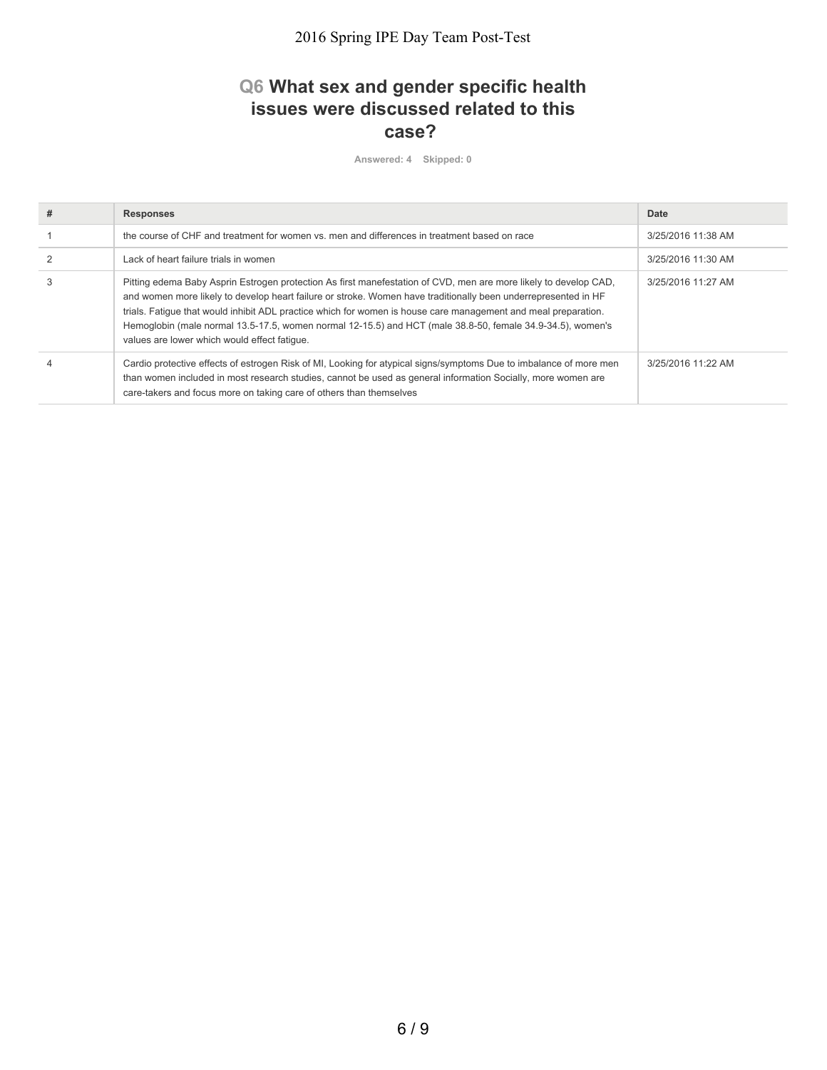## **Q6 What sex and gender specific health issues were discussed related to this case?**

| # | <b>Responses</b>                                                                                                                                                                                                                                                                                                                                                                                                                                                                                                   | Date               |
|---|--------------------------------------------------------------------------------------------------------------------------------------------------------------------------------------------------------------------------------------------------------------------------------------------------------------------------------------------------------------------------------------------------------------------------------------------------------------------------------------------------------------------|--------------------|
|   | the course of CHF and treatment for women vs. men and differences in treatment based on race                                                                                                                                                                                                                                                                                                                                                                                                                       | 3/25/2016 11:38 AM |
|   | Lack of heart failure trials in women                                                                                                                                                                                                                                                                                                                                                                                                                                                                              | 3/25/2016 11:30 AM |
| 3 | Pitting edema Baby Asprin Estrogen protection As first manefestation of CVD, men are more likely to develop CAD,<br>and women more likely to develop heart failure or stroke. Women have traditionally been underrepresented in HF<br>trials. Fatigue that would inhibit ADL practice which for women is house care management and meal preparation.<br>Hemoglobin (male normal 13.5-17.5, women normal 12-15.5) and HCT (male 38.8-50, female 34.9-34.5), women's<br>values are lower which would effect fatique. | 3/25/2016 11:27 AM |
|   | Cardio protective effects of estrogen Risk of MI, Looking for atypical signs/symptoms Due to imbalance of more men<br>than women included in most research studies, cannot be used as general information Socially, more women are<br>care-takers and focus more on taking care of others than themselves                                                                                                                                                                                                          | 3/25/2016 11:22 AM |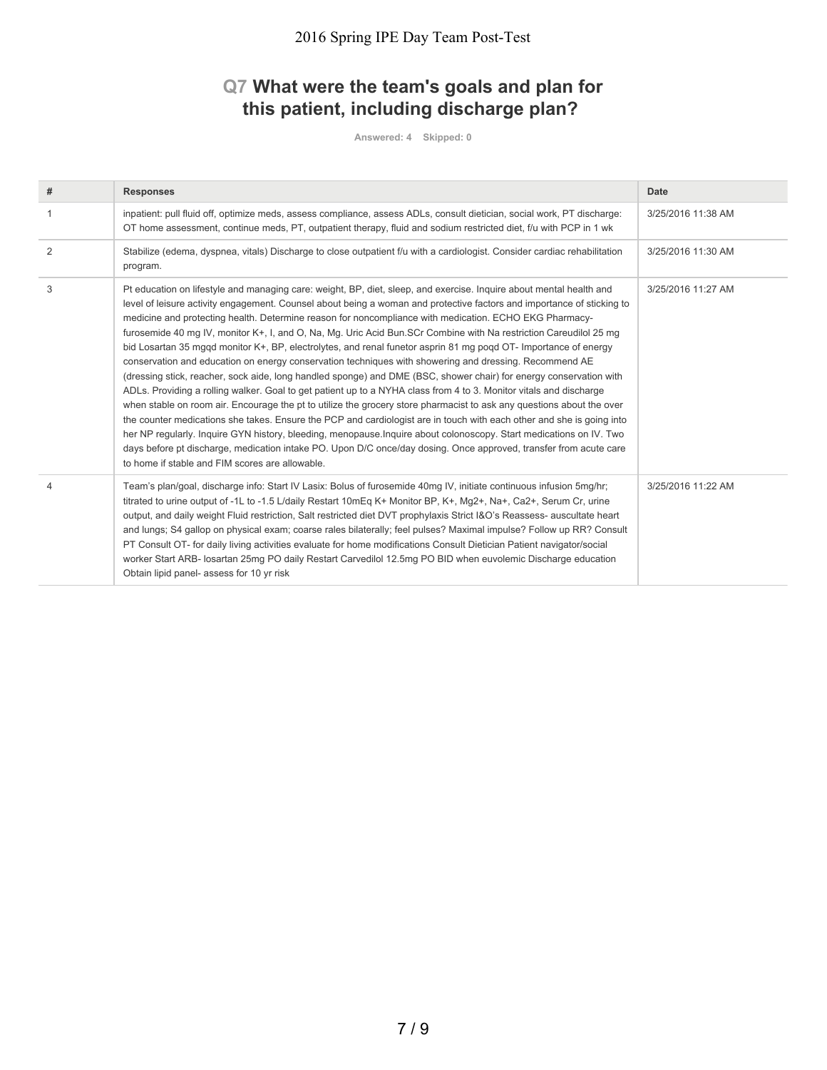# **Q7 What were the team's goals and plan for this patient, including discharge plan?**

| #              | <b>Responses</b>                                                                                                                                                                                                                                                                                                                                                                                                                                                                                                                                                                                                                                                                                                                                                                                                                                                                                                                                                                                                                                                                                                                                                                                                                                                                                                                                                                                                                                                                                       | <b>Date</b>        |
|----------------|--------------------------------------------------------------------------------------------------------------------------------------------------------------------------------------------------------------------------------------------------------------------------------------------------------------------------------------------------------------------------------------------------------------------------------------------------------------------------------------------------------------------------------------------------------------------------------------------------------------------------------------------------------------------------------------------------------------------------------------------------------------------------------------------------------------------------------------------------------------------------------------------------------------------------------------------------------------------------------------------------------------------------------------------------------------------------------------------------------------------------------------------------------------------------------------------------------------------------------------------------------------------------------------------------------------------------------------------------------------------------------------------------------------------------------------------------------------------------------------------------------|--------------------|
| $\overline{1}$ | inpatient: pull fluid off, optimize meds, assess compliance, assess ADLs, consult dietician, social work, PT discharge:<br>OT home assessment, continue meds, PT, outpatient therapy, fluid and sodium restricted diet, f/u with PCP in 1 wk                                                                                                                                                                                                                                                                                                                                                                                                                                                                                                                                                                                                                                                                                                                                                                                                                                                                                                                                                                                                                                                                                                                                                                                                                                                           | 3/25/2016 11:38 AM |
| 2              | Stabilize (edema, dyspnea, vitals) Discharge to close outpatient f/u with a cardiologist. Consider cardiac rehabilitation<br>program.                                                                                                                                                                                                                                                                                                                                                                                                                                                                                                                                                                                                                                                                                                                                                                                                                                                                                                                                                                                                                                                                                                                                                                                                                                                                                                                                                                  | 3/25/2016 11:30 AM |
| 3              | Pt education on lifestyle and managing care: weight, BP, diet, sleep, and exercise. Inquire about mental health and<br>level of leisure activity engagement. Counsel about being a woman and protective factors and importance of sticking to<br>medicine and protecting health. Determine reason for noncompliance with medication. ECHO EKG Pharmacy-<br>furosemide 40 mg IV, monitor K+, I, and O, Na, Mg. Uric Acid Bun.SCr Combine with Na restriction Careudilol 25 mg<br>bid Losartan 35 mggd monitor K+, BP, electrolytes, and renal funetor asprin 81 mg pogd OT- Importance of energy<br>conservation and education on energy conservation techniques with showering and dressing. Recommend AE<br>(dressing stick, reacher, sock aide, long handled sponge) and DME (BSC, shower chair) for energy conservation with<br>ADLs. Providing a rolling walker. Goal to get patient up to a NYHA class from 4 to 3. Monitor vitals and discharge<br>when stable on room air. Encourage the pt to utilize the grocery store pharmacist to ask any questions about the over<br>the counter medications she takes. Ensure the PCP and cardiologist are in touch with each other and she is going into<br>her NP regularly. Inquire GYN history, bleeding, menopause. Inquire about colonoscopy. Start medications on IV. Two<br>days before pt discharge, medication intake PO. Upon D/C once/day dosing. Once approved, transfer from acute care<br>to home if stable and FIM scores are allowable. | 3/25/2016 11:27 AM |
| $\overline{4}$ | Team's plan/goal, discharge info: Start IV Lasix: Bolus of furosemide 40mg IV, initiate continuous infusion 5mg/hr;<br>titrated to urine output of -1L to -1.5 L/daily Restart 10mEq K+ Monitor BP, K+, Mq2+, Na+, Ca2+, Serum Cr, urine<br>output, and daily weight Fluid restriction, Salt restricted diet DVT prophylaxis Strict I&O's Reassess- auscultate heart<br>and lungs; S4 gallop on physical exam; coarse rales bilaterally; feel pulses? Maximal impulse? Follow up RR? Consult<br>PT Consult OT- for daily living activities evaluate for home modifications Consult Dietician Patient navigator/social<br>worker Start ARB- losartan 25mg PO daily Restart Carvedilol 12.5mg PO BID when euvolemic Discharge education<br>Obtain lipid panel- assess for 10 yr risk                                                                                                                                                                                                                                                                                                                                                                                                                                                                                                                                                                                                                                                                                                                     | 3/25/2016 11:22 AM |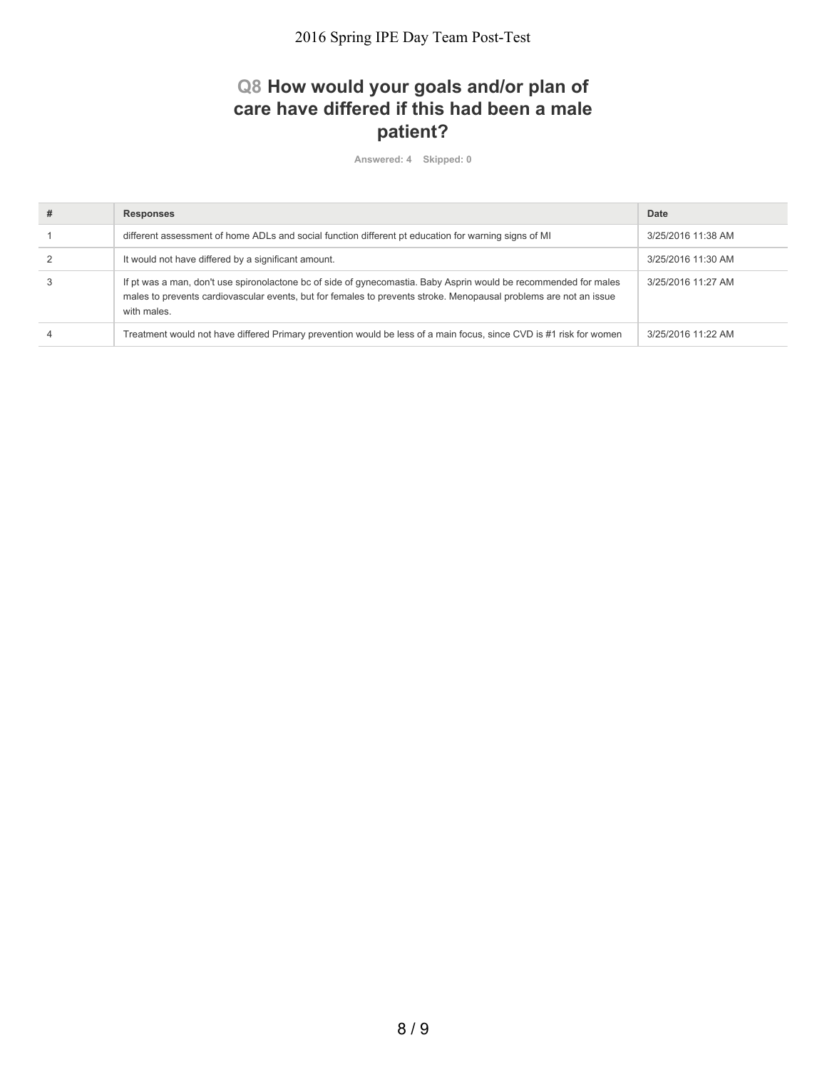## **Q8 How would your goals and/or plan of care have differed if this had been a male patient?**

| <b>Responses</b>                                                                                                                                                                                                                                     | Date               |
|------------------------------------------------------------------------------------------------------------------------------------------------------------------------------------------------------------------------------------------------------|--------------------|
| different assessment of home ADLs and social function different pt education for warning signs of MI                                                                                                                                                 | 3/25/2016 11:38 AM |
| It would not have differed by a significant amount.                                                                                                                                                                                                  | 3/25/2016 11:30 AM |
| If pt was a man, don't use spironolactone bc of side of gynecomastia. Baby Asprin would be recommended for males<br>males to prevents cardiovascular events, but for females to prevents stroke. Menopausal problems are not an issue<br>with males. | 3/25/2016 11:27 AM |
| Treatment would not have differed Primary prevention would be less of a main focus, since CVD is #1 risk for women                                                                                                                                   | 3/25/2016 11:22 AM |